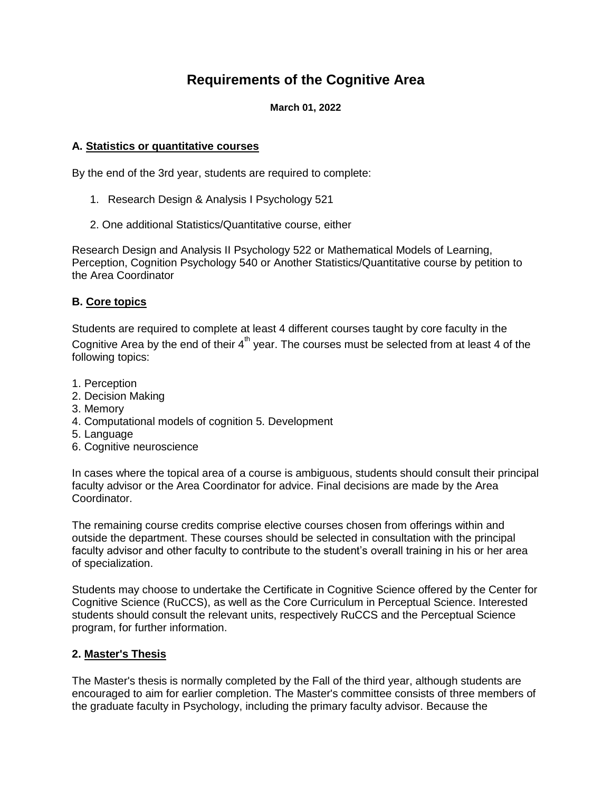# **Requirements of the Cognitive Area**

#### **March 01, 2022**

# **A. Statistics or quantitative courses**

By the end of the 3rd year, students are required to complete:

- 1. Research Design & Analysis I Psychology 521
- 2. One additional Statistics/Quantitative course, either

Research Design and Analysis II Psychology 522 or Mathematical Models of Learning, Perception, Cognition Psychology 540 or Another Statistics/Quantitative course by petition to the Area Coordinator

# **B. Core topics**

Students are required to complete at least 4 different courses taught by core faculty in the Cognitive Area by the end of their  $4<sup>th</sup>$  year. The courses must be selected from at least 4 of the following topics:

- 1. Perception
- 2. Decision Making
- 3. Memory
- 4. Computational models of cognition 5. Development
- 5. Language
- 6. Cognitive neuroscience

In cases where the topical area of a course is ambiguous, students should consult their principal faculty advisor or the Area Coordinator for advice. Final decisions are made by the Area Coordinator.

The remaining course credits comprise elective courses chosen from offerings within and outside the department. These courses should be selected in consultation with the principal faculty advisor and other faculty to contribute to the student's overall training in his or her area of specialization.

Students may choose to undertake the Certificate in Cognitive Science offered by the Center for Cognitive Science (RuCCS), as well as the Core Curriculum in Perceptual Science. Interested students should consult the relevant units, respectively RuCCS and the Perceptual Science program, for further information.

#### **2. Master's Thesis**

The Master's thesis is normally completed by the Fall of the third year, although students are encouraged to aim for earlier completion. The Master's committee consists of three members of the graduate faculty in Psychology, including the primary faculty advisor. Because the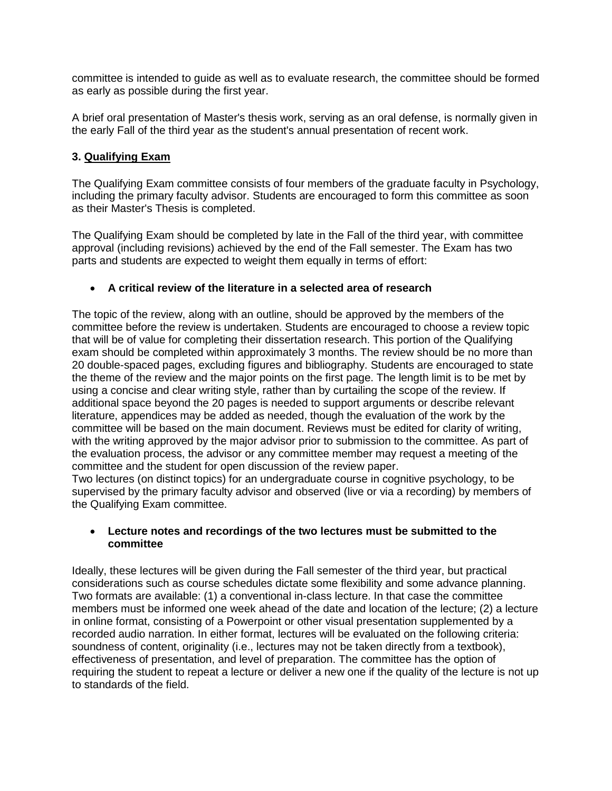committee is intended to guide as well as to evaluate research, the committee should be formed as early as possible during the first year.

A brief oral presentation of Master's thesis work, serving as an oral defense, is normally given in the early Fall of the third year as the student's annual presentation of recent work.

# **3. Qualifying Exam**

The Qualifying Exam committee consists of four members of the graduate faculty in Psychology, including the primary faculty advisor. Students are encouraged to form this committee as soon as their Master's Thesis is completed.

The Qualifying Exam should be completed by late in the Fall of the third year, with committee approval (including revisions) achieved by the end of the Fall semester. The Exam has two parts and students are expected to weight them equally in terms of effort:

# **A critical review of the literature in a selected area of research**

The topic of the review, along with an outline, should be approved by the members of the committee before the review is undertaken. Students are encouraged to choose a review topic that will be of value for completing their dissertation research. This portion of the Qualifying exam should be completed within approximately 3 months. The review should be no more than 20 double-spaced pages, excluding figures and bibliography. Students are encouraged to state the theme of the review and the major points on the first page. The length limit is to be met by using a concise and clear writing style, rather than by curtailing the scope of the review. If additional space beyond the 20 pages is needed to support arguments or describe relevant literature, appendices may be added as needed, though the evaluation of the work by the committee will be based on the main document. Reviews must be edited for clarity of writing, with the writing approved by the major advisor prior to submission to the committee. As part of the evaluation process, the advisor or any committee member may request a meeting of the committee and the student for open discussion of the review paper.

Two lectures (on distinct topics) for an undergraduate course in cognitive psychology, to be supervised by the primary faculty advisor and observed (live or via a recording) by members of the Qualifying Exam committee.

# **Lecture notes and recordings of the two lectures must be submitted to the committee**

Ideally, these lectures will be given during the Fall semester of the third year, but practical considerations such as course schedules dictate some flexibility and some advance planning. Two formats are available: (1) a conventional in-class lecture. In that case the committee members must be informed one week ahead of the date and location of the lecture; (2) a lecture in online format, consisting of a Powerpoint or other visual presentation supplemented by a recorded audio narration. In either format, lectures will be evaluated on the following criteria: soundness of content, originality (i.e., lectures may not be taken directly from a textbook), effectiveness of presentation, and level of preparation. The committee has the option of requiring the student to repeat a lecture or deliver a new one if the quality of the lecture is not up to standards of the field.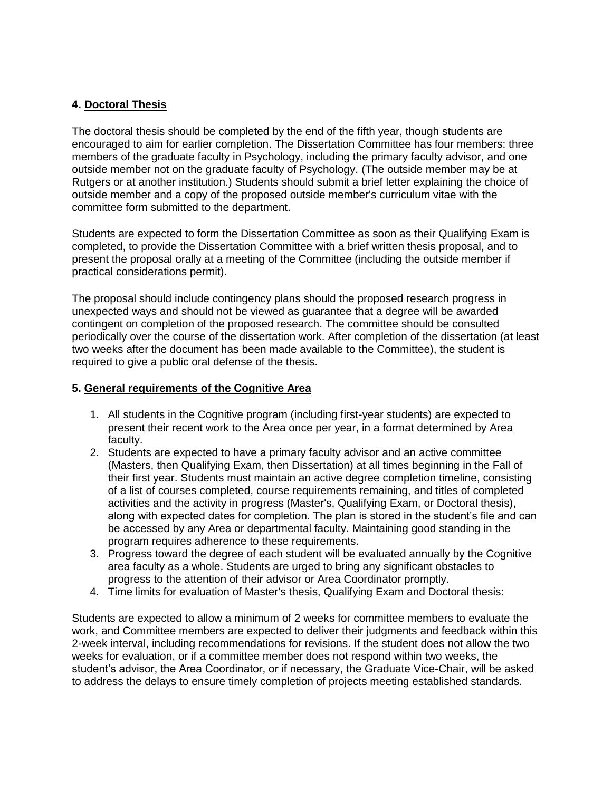# **4. Doctoral Thesis**

The doctoral thesis should be completed by the end of the fifth year, though students are encouraged to aim for earlier completion. The Dissertation Committee has four members: three members of the graduate faculty in Psychology, including the primary faculty advisor, and one outside member not on the graduate faculty of Psychology. (The outside member may be at Rutgers or at another institution.) Students should submit a brief letter explaining the choice of outside member and a copy of the proposed outside member's curriculum vitae with the committee form submitted to the department.

Students are expected to form the Dissertation Committee as soon as their Qualifying Exam is completed, to provide the Dissertation Committee with a brief written thesis proposal, and to present the proposal orally at a meeting of the Committee (including the outside member if practical considerations permit).

The proposal should include contingency plans should the proposed research progress in unexpected ways and should not be viewed as guarantee that a degree will be awarded contingent on completion of the proposed research. The committee should be consulted periodically over the course of the dissertation work. After completion of the dissertation (at least two weeks after the document has been made available to the Committee), the student is required to give a public oral defense of the thesis.

#### **5. General requirements of the Cognitive Area**

- 1. All students in the Cognitive program (including first-year students) are expected to present their recent work to the Area once per year, in a format determined by Area faculty.
- 2. Students are expected to have a primary faculty advisor and an active committee (Masters, then Qualifying Exam, then Dissertation) at all times beginning in the Fall of their first year. Students must maintain an active degree completion timeline, consisting of a list of courses completed, course requirements remaining, and titles of completed activities and the activity in progress (Master's, Qualifying Exam, or Doctoral thesis), along with expected dates for completion. The plan is stored in the student's file and can be accessed by any Area or departmental faculty. Maintaining good standing in the program requires adherence to these requirements.
- 3. Progress toward the degree of each student will be evaluated annually by the Cognitive area faculty as a whole. Students are urged to bring any significant obstacles to progress to the attention of their advisor or Area Coordinator promptly.
- 4. Time limits for evaluation of Master's thesis, Qualifying Exam and Doctoral thesis:

Students are expected to allow a minimum of 2 weeks for committee members to evaluate the work, and Committee members are expected to deliver their judgments and feedback within this 2-week interval, including recommendations for revisions. If the student does not allow the two weeks for evaluation, or if a committee member does not respond within two weeks, the student's advisor, the Area Coordinator, or if necessary, the Graduate Vice-Chair, will be asked to address the delays to ensure timely completion of projects meeting established standards.